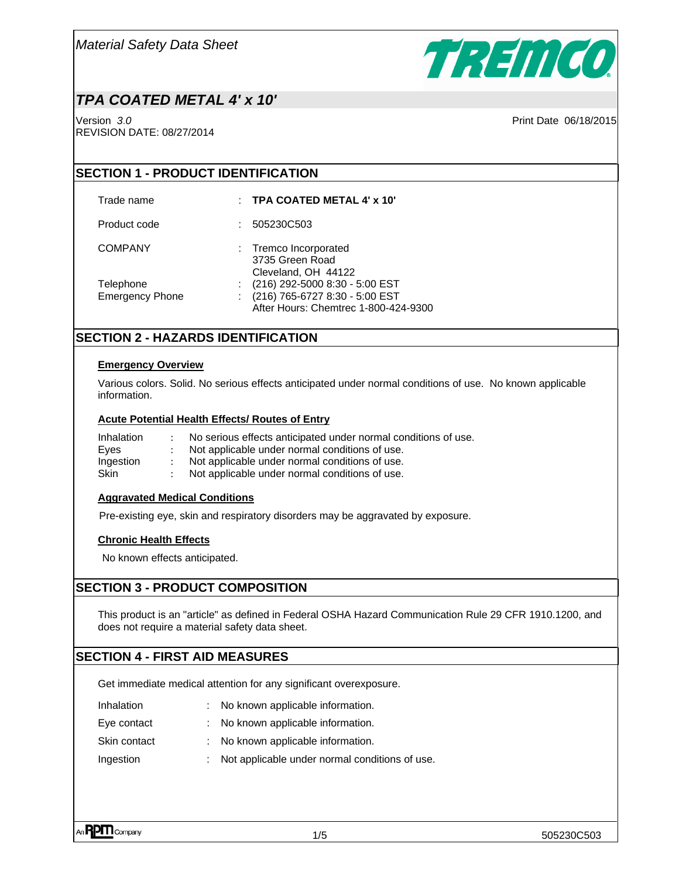

# *TPA COATED METAL 4' x 10'*

Version *3*.*0* Print Date 06/18/2015 REVISION DATE: 08/27/2014

### **SECTION 1 - PRODUCT IDENTIFICATION**

### Trade name : **TPA COATED METAL 4' x 10'**

Product code : 505230C503

- COMPANY : Tremco Incorporated
	- 3735 Green Road Cleveland, OH 44122
- Telephone : (216) 292-5000 8:30 5:00 EST
- Emergency Phone : (216) 765-6727 8:30 5:00 EST

After Hours: Chemtrec 1-800-424-9300

### **SECTION 2 - HAZARDS IDENTIFICATION**

#### **Emergency Overview**

Various colors. Solid. No serious effects anticipated under normal conditions of use. No known applicable information.

### **Acute Potential Health Effects/ Routes of Entry**

| Inhalation | No serious effects anticipated under normal conditions of use. |
|------------|----------------------------------------------------------------|
| Eves       | Not applicable under normal conditions of use.                 |
| Ingestion  | Not applicable under normal conditions of use.                 |
| Skin       | Not applicable under normal conditions of use.                 |

### **Aggravated Medical Conditions**

Pre-existing eye, skin and respiratory disorders may be aggravated by exposure.

### **Chronic Health Effects**

No known effects anticipated.

### **SECTION 3 - PRODUCT COMPOSITION**

This product is an "article" as defined in Federal OSHA Hazard Communication Rule 29 CFR 1910.1200, and does not require a material safety data sheet.

### **SECTION 4 - FIRST AID MEASURES**

Get immediate medical attention for any significant overexposure.

| <b>Inhalation</b> |  | No known applicable information. |
|-------------------|--|----------------------------------|
|-------------------|--|----------------------------------|

- Eye contact : No known applicable information.
- Skin contact : No known applicable information.
- Ingestion : Not applicable under normal conditions of use.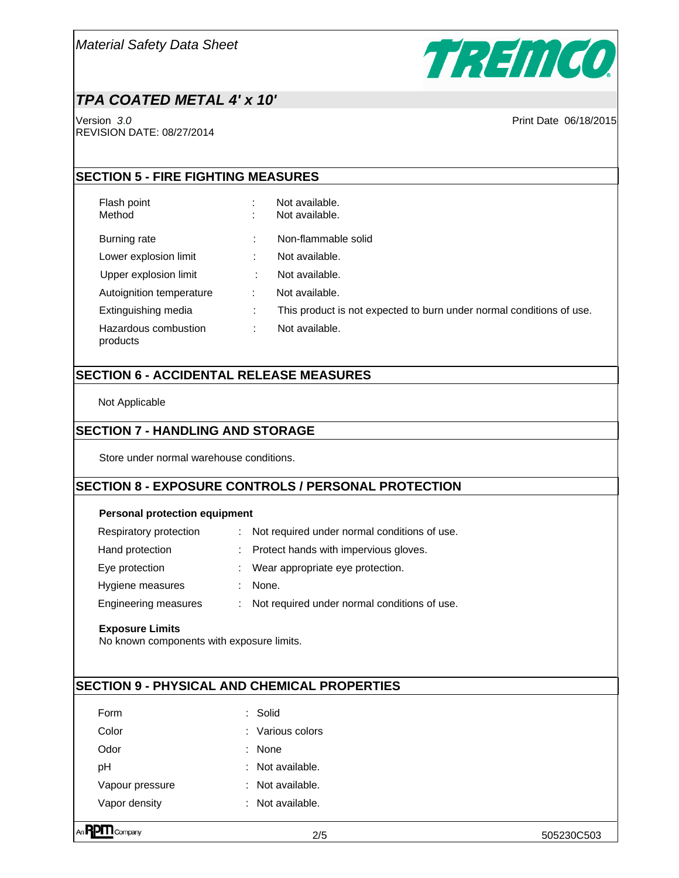

# *TPA COATED METAL 4' x 10'*

Version *3*.*0* Print Date 06/18/2015 REVISION DATE: 08/27/2014

## **SECTION 5 - FIRE FIGHTING MEASURES**

Flash point  $\qquad \qquad : \qquad$  Not available.

- Method : Not available.
- Burning rate : Non-flammable solid Lower explosion limit : Not available.
- Upper explosion limit : Not available.
- Autoignition temperature : Not available.
- Extinguishing media : This product is not expected to burn under normal conditions of use.

Hazardous combustion

: Not available.

# **SECTION 6 - ACCIDENTAL RELEASE MEASURES**

Not Applicable

products

## **SECTION 7 - HANDLING AND STORAGE**

Store under normal warehouse conditions.

# **SECTION 8 - EXPOSURE CONTROLS / PERSONAL PROTECTION**

### **Personal protection equipment**

| Respiratory protection | : Not required under normal conditions of use. |
|------------------------|------------------------------------------------|
| Hand protection        | : Protect hands with impervious gloves.        |
| Eye protection         | : Wear appropriate eye protection.             |
| Hygiene measures       | : None.                                        |
| Engineering measures   | Not required under normal conditions of use.   |

### **Exposure Limits**

No known components with exposure limits.

## **SECTION 9 - PHYSICAL AND CHEMICAL PROPERTIES**

| Form          |                 | Solid                       |
|---------------|-----------------|-----------------------------|
| Color         |                 | $\therefore$ Various colors |
| Odor          |                 | <b>None</b>                 |
| pН            |                 | Not available.              |
|               | Vapour pressure | Not available.              |
| Vapor density |                 | Not available.              |
|               |                 |                             |

R**PM** Company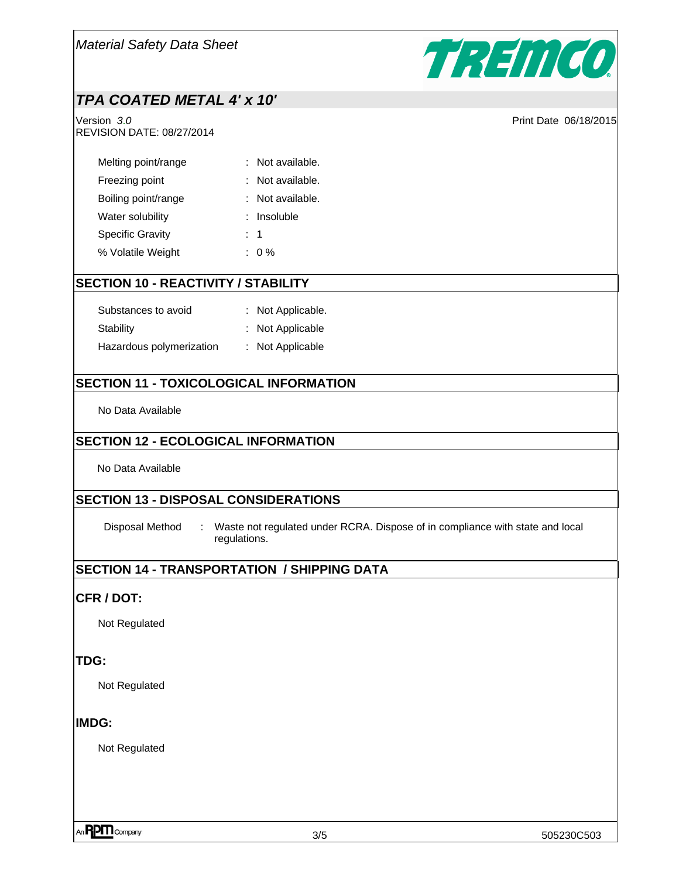

# *TPA COATED METAL 4' x 10'*

Version *3*.*0* Print Date 06/18/2015 REVISION DATE: 08/27/2014

| Melting point/range     | : Not available. |
|-------------------------|------------------|
| Freezing point          | Not available.   |
| Boiling point/range     | : Not available. |
| Water solubility        | Insoluble        |
| <b>Specific Gravity</b> | $\therefore$ 1   |
| % Volatile Weight       | $: 0\%$          |

### **SECTION 10 - REACTIVITY / STABILITY**

| Substances to avoid      | : Not Applicable. |
|--------------------------|-------------------|
| Stability                | : Not Applicable  |
| Hazardous polymerization | : Not Applicable  |

## **SECTION 11 - TOXICOLOGICAL INFORMATION**

No Data Available

### **SECTION 12 - ECOLOGICAL INFORMATION**

No Data Available

### **SECTION 13 - DISPOSAL CONSIDERATIONS**

Disposal Method : Waste not regulated under RCRA. Dispose of in compliance with state and local regulations.

## **SECTION 14 - TRANSPORTATION / SHIPPING DATA**

### **CFR / DOT:**

Not Regulated

### **TDG:**

Not Regulated

### **IMDG:**

Not Regulated

 $\eta$ **PM** Company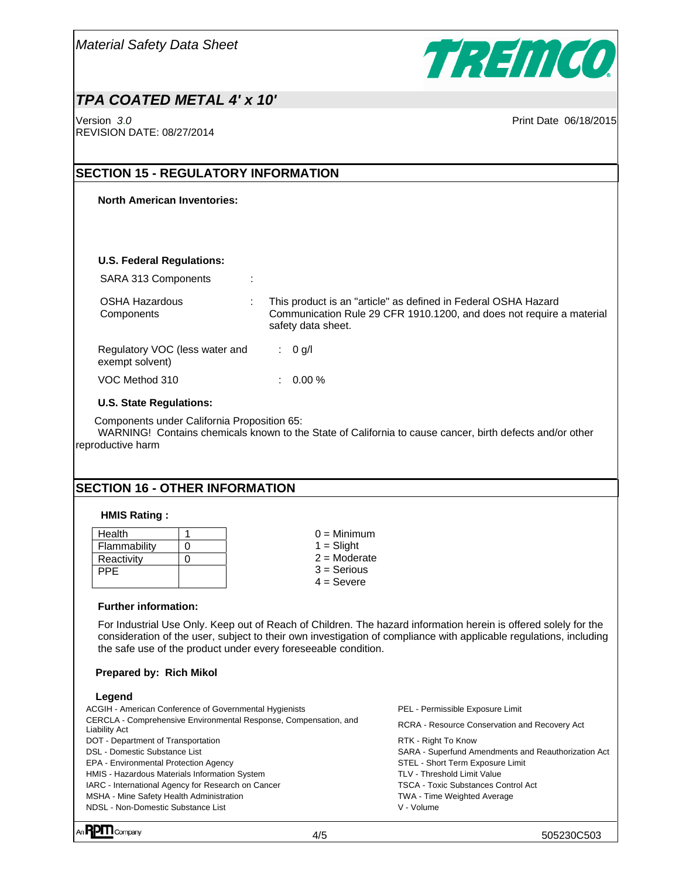

# *TPA COATED METAL 4' x 10'*

Version *3*.*0* Print Date 06/18/2015 REVISION DATE: 08/27/2014

## **SECTION 15 - REGULATORY INFORMATION**

#### **North American Inventories:**

#### **U.S. Federal Regulations:**

| SARA 313 Components                               | ÷ |                                                                                                                                                              |
|---------------------------------------------------|---|--------------------------------------------------------------------------------------------------------------------------------------------------------------|
| <b>OSHA Hazardous</b><br>Components               |   | This product is an "article" as defined in Federal OSHA Hazard<br>Communication Rule 29 CFR 1910.1200, and does not require a material<br>safety data sheet. |
| Regulatory VOC (less water and<br>exempt solvent) |   | : $0$ g/l                                                                                                                                                    |
| VOC Method 310                                    |   | 0.00%                                                                                                                                                        |

#### **U.S. State Regulations:**

Components under California Proposition 65:

WARNING! Contains chemicals known to the State of California to cause cancer, birth defects and/or other reproductive harm

## **SECTION 16 - OTHER INFORMATION**

#### **HMIS Rating :**

| Health       |   |
|--------------|---|
| Flammability | O |
| Reactivity   |   |
| <b>PPE</b>   |   |
|              |   |

 $0 =$  Minimum  $1 =$ Slight  $2 =$ Moderate 3 = Serious  $4 =$  Severe

#### **Further information:**

For Industrial Use Only. Keep out of Reach of Children. The hazard information herein is offered solely for the consideration of the user, subject to their own investigation of compliance with applicable regulations, including the safe use of the product under every foreseeable condition.

#### **Prepared by: Rich Mikol**

#### **Legend**

| ACGIH - American Conference of Governmental Hygienists                            | PEL - Permissible Exposure Limit                    |
|-----------------------------------------------------------------------------------|-----------------------------------------------------|
| CERCLA - Comprehensive Environmental Response, Compensation, and<br>Liability Act | RCRA - Resource Conservation and Recovery Act       |
| DOT - Department of Transportation                                                | RTK - Right To Know                                 |
| DSL - Domestic Substance List                                                     | SARA - Superfund Amendments and Reauthorization Act |
| <b>EPA - Environmental Protection Agency</b>                                      | STEL - Short Term Exposure Limit                    |
| HMIS - Hazardous Materials Information System                                     | TLV - Threshold Limit Value                         |
| IARC - International Agency for Research on Cancer                                | <b>TSCA - Toxic Substances Control Act</b>          |
| MSHA - Mine Safety Health Administration                                          | <b>TWA - Time Weighted Average</b>                  |
| NDSL - Non-Domestic Substance List                                                | V - Volume                                          |
|                                                                                   |                                                     |